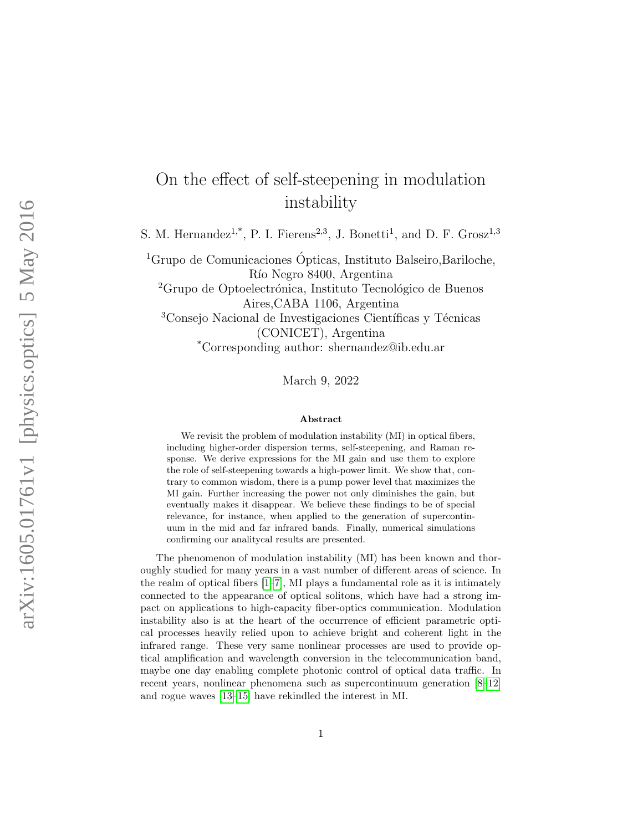## On the effect of self-steepening in modulation instability

S. M. Hernandez<sup>1,\*</sup>, P. I. Fierens<sup>2,3</sup>, J. Bonetti<sup>1</sup>, and D. F. Grosz<sup>1,3</sup>

<sup>1</sup>Grupo de Comunicaciones Ópticas, Instituto Balseiro, Bariloche, Río Negro 8400, Argentina <sup>2</sup>Grupo de Optoelectrónica, Instituto Tecnológico de Buenos Aires,CABA 1106, Argentina <sup>3</sup>Consejo Nacional de Investigaciones Científicas y Técnicas (CONICET), Argentina \*Corresponding author: shernandez@ib.edu.ar

March 9, 2022

## Abstract

We revisit the problem of modulation instability (MI) in optical fibers, including higher-order dispersion terms, self-steepening, and Raman response. We derive expressions for the MI gain and use them to explore the role of self-steepening towards a high-power limit. We show that, contrary to common wisdom, there is a pump power level that maximizes the MI gain. Further increasing the power not only diminishes the gain, but eventually makes it disappear. We believe these findings to be of special relevance, for instance, when applied to the generation of supercontinuum in the mid and far infrared bands. Finally, numerical simulations confirming our analitycal results are presented.

The phenomenon of modulation instability (MI) has been known and thoroughly studied for many years in a vast number of different areas of science. In the realm of optical fibers  $[1–7]$  $[1–7]$ , MI plays a fundamental role as it is intimately connected to the appearance of optical solitons, which have had a strong impact on applications to high-capacity fiber-optics communication. Modulation instability also is at the heart of the occurrence of efficient parametric optical processes heavily relied upon to achieve bright and coherent light in the infrared range. These very same nonlinear processes are used to provide optical amplification and wavelength conversion in the telecommunication band, maybe one day enabling complete photonic control of optical data traffic. In recent years, nonlinear phenomena such as supercontinuum generation [\[8–](#page-7-2)[12\]](#page-7-3) and rogue waves [\[13](#page-7-4)[–15\]](#page-8-0) have rekindled the interest in MI.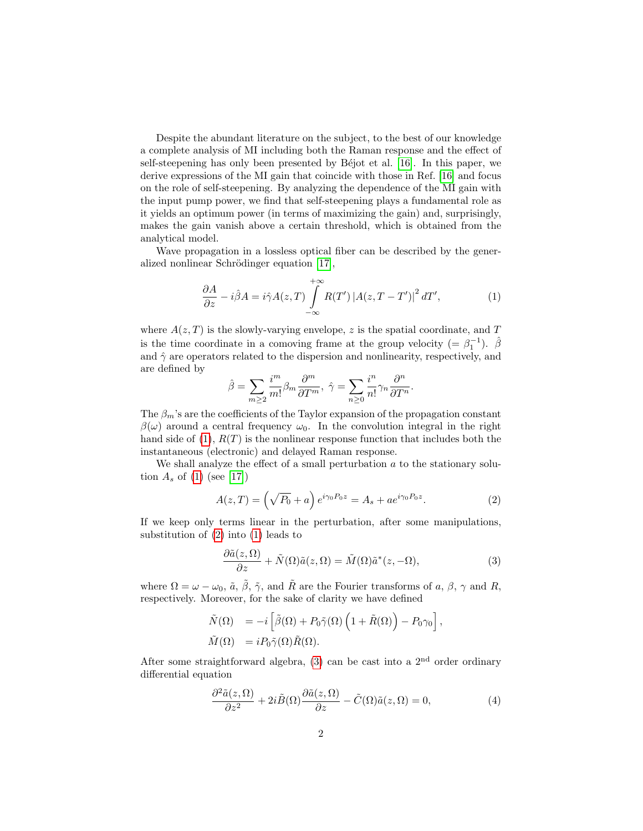Despite the abundant literature on the subject, to the best of our knowledge a complete analysis of MI including both the Raman response and the effect of self-steepening has only been presented by Béjot et al. [\[16\]](#page-8-1). In this paper, we derive expressions of the MI gain that coincide with those in Ref. [\[16\]](#page-8-1) and focus on the role of self-steepening. By analyzing the dependence of the MI gain with the input pump power, we find that self-steepening plays a fundamental role as it yields an optimum power (in terms of maximizing the gain) and, surprisingly, makes the gain vanish above a certain threshold, which is obtained from the analytical model.

Wave propagation in a lossless optical fiber can be described by the gener-alized nonlinear Schrödinger equation [\[17\]](#page-8-2),

<span id="page-1-0"></span>
$$
\frac{\partial A}{\partial z} - i\hat{\beta}A = i\hat{\gamma}A(z,T) \int\limits_{-\infty}^{+\infty} R(T') \left| A(z,T-T') \right|^2 dT', \tag{1}
$$

where  $A(z,T)$  is the slowly-varying envelope, z is the spatial coordinate, and T is the time coordinate in a comoving frame at the group velocity (=  $\beta_1^{-1}$ ).  $\hat{\beta}$ and  $\hat{\gamma}$  are operators related to the dispersion and nonlinearity, respectively, and are defined by

$$
\hat{\beta}=\sum_{m\geq 2}\frac{i^{m}}{m!}\beta_{m}\frac{\partial^{m}}{\partial T^{m}},\;\hat{\gamma}=\sum_{n\geq 0}\frac{i^{n}}{n!}\gamma_{n}\frac{\partial^{n}}{\partial T^{n}}.
$$

The  $\beta_m$ 's are the coefficients of the Taylor expansion of the propagation constant  $\beta(\omega)$  around a central frequency  $\omega_0$ . In the convolution integral in the right hand side of  $(1)$ ,  $R(T)$  is the nonlinear response function that includes both the instantaneous (electronic) and delayed Raman response.

We shall analyze the effect of a small perturbation  $a$  to the stationary solution  $A_s$  of [\(1\)](#page-1-0) (see [\[17\]](#page-8-2))

<span id="page-1-1"></span>
$$
A(z,T) = \left(\sqrt{P_0} + a\right)e^{i\gamma_0 P_0 z} = A_s + a e^{i\gamma_0 P_0 z}.
$$
 (2)

If we keep only terms linear in the perturbation, after some manipulations, substitution of [\(2\)](#page-1-1) into [\(1\)](#page-1-0) leads to

<span id="page-1-2"></span>
$$
\frac{\partial \tilde{a}(z,\Omega)}{\partial z} + \tilde{N}(\Omega)\tilde{a}(z,\Omega) = \tilde{M}(\Omega)\tilde{a}^*(z,-\Omega),\tag{3}
$$

where  $\Omega = \omega - \omega_0$ ,  $\tilde{a}$ ,  $\tilde{\beta}$ ,  $\tilde{\gamma}$ , and  $\tilde{R}$  are the Fourier transforms of a,  $\beta$ ,  $\gamma$  and  $R$ , respectively. Moreover, for the sake of clarity we have defined

$$
\tilde{N}(\Omega) = -i \left[ \tilde{\beta}(\Omega) + P_0 \tilde{\gamma}(\Omega) \left( 1 + \tilde{R}(\Omega) \right) - P_0 \gamma_0 \right],
$$
  

$$
\tilde{M}(\Omega) = i P_0 \tilde{\gamma}(\Omega) \tilde{R}(\Omega).
$$

After some straightforward algebra, [\(3\)](#page-1-2) can be cast into a  $2<sup>nd</sup>$  order ordinary differential equation

<span id="page-1-3"></span>
$$
\frac{\partial^2 \tilde{a}(z,\Omega)}{\partial z^2} + 2i\tilde{B}(\Omega)\frac{\partial \tilde{a}(z,\Omega)}{\partial z} - \tilde{C}(\Omega)\tilde{a}(z,\Omega) = 0,\tag{4}
$$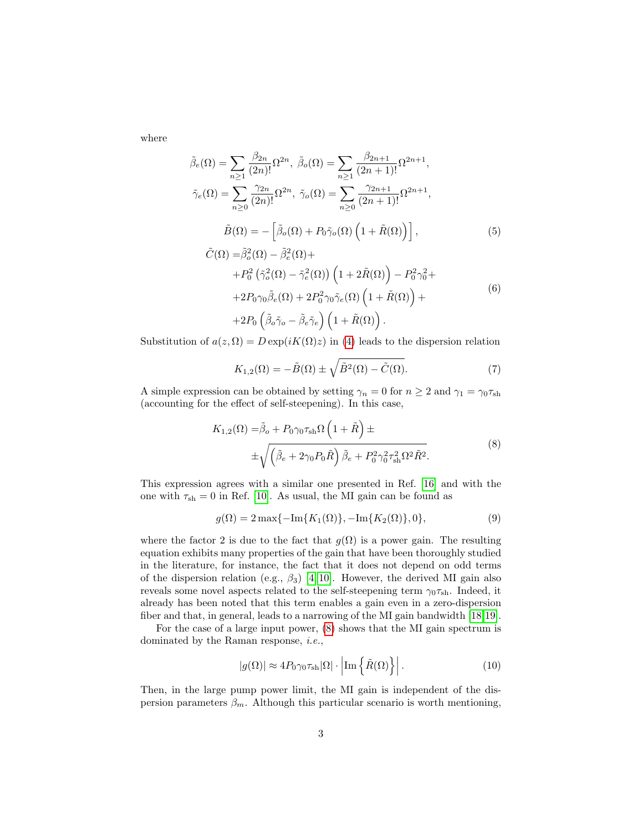where

 $\sqrt{2}$ 

$$
\tilde{\beta}_{e}(\Omega) = \sum_{n\geq 1} \frac{\beta_{2n}}{(2n)!} \Omega^{2n}, \ \tilde{\beta}_{o}(\Omega) = \sum_{n\geq 1} \frac{\beta_{2n+1}}{(2n+1)!} \Omega^{2n+1},
$$
\n
$$
\tilde{\gamma}_{e}(\Omega) = \sum_{n\geq 0} \frac{\gamma_{2n}}{(2n)!} \Omega^{2n}, \ \tilde{\gamma}_{o}(\Omega) = \sum_{n\geq 0} \frac{\gamma_{2n+1}}{(2n+1)!} \Omega^{2n+1},
$$
\n
$$
\tilde{B}(\Omega) = -\left[\tilde{\beta}_{o}(\Omega) + P_{0}\tilde{\gamma}_{o}(\Omega)\left(1 + \tilde{R}(\Omega)\right)\right],
$$
\n
$$
\tilde{C}(\Omega) = \tilde{\beta}_{o}^{2}(\Omega) - \tilde{\beta}_{e}^{2}(\Omega) +
$$
\n
$$
+ P_{0}^{2} \left(\tilde{\gamma}_{o}^{2}(\Omega) - \tilde{\gamma}_{e}^{2}(\Omega)\right) \left(1 + 2\tilde{R}(\Omega)\right) - P_{0}^{2} \gamma_{0}^{2} +
$$
\n
$$
+ 2P_{0} \gamma_{0} \tilde{\beta}_{e}(\Omega) + 2P_{0}^{2} \gamma_{0} \tilde{\gamma}_{e}(\Omega) \left(1 + \tilde{R}(\Omega)\right) +
$$
\n(6)

$$
+2P_0\left(\tilde{\beta}_o\tilde{\gamma}_o-\tilde{\beta}_e\tilde{\gamma}_e\right)\left(1+\tilde{R}(\Omega)\right).
$$

Substitution of  $a(z, \Omega) = D \exp(i K(\Omega) z)$  in [\(4\)](#page-1-3) leads to the dispersion relation

$$
K_{1,2}(\Omega) = -\tilde{B}(\Omega) \pm \sqrt{\tilde{B}^2(\Omega) - \tilde{C}(\Omega)}.
$$
\n(7)

A simple expression can be obtained by setting  $\gamma_n = 0$  for  $n \geq 2$  and  $\gamma_1 = \gamma_0 \tau_{\rm sh}$ (accounting for the effect of self-steepening). In this case,

$$
K_{1,2}(\Omega) = \tilde{\beta}_o + P_0 \gamma_0 \tau_{\rm sh} \Omega \left( 1 + \tilde{R} \right) \pm
$$
  
 
$$
\pm \sqrt{\left( \tilde{\beta}_e + 2 \gamma_0 P_0 \tilde{R} \right) \tilde{\beta}_e + P_0^2 \gamma_0^2 \tau_{\rm sh}^2 \Omega^2 \tilde{R}^2}.
$$
 (8)

<span id="page-2-0"></span>This expression agrees with a similar one presented in Ref. [\[16\]](#page-8-1) and with the one with  $\tau_{\rm sh} = 0$  in Ref. [\[10\]](#page-7-5). As usual, the MI gain can be found as

$$
g(\Omega) = 2 \max\{-\text{Im}\{K_1(\Omega)\}, -\text{Im}\{K_2(\Omega)\}, 0\},\tag{9}
$$

where the factor 2 is due to the fact that  $g(\Omega)$  is a power gain. The resulting equation exhibits many properties of the gain that have been thoroughly studied in the literature, for instance, the fact that it does not depend on odd terms of the dispersion relation (e.g.,  $\beta_3$ ) [\[4,](#page-7-6) [10\]](#page-7-5). However, the derived MI gain also reveals some novel aspects related to the self-steepening term  $\gamma_0 \tau_{sh}$ . Indeed, it already has been noted that this term enables a gain even in a zero-dispersion fiber and that, in general, leads to a narrowing of the MI gain bandwidth [\[18,](#page-8-3)[19\]](#page-8-4).

For the case of a large input power, [\(8\)](#page-2-0) shows that the MI gain spectrum is dominated by the Raman response, i.e.,

$$
|g(\Omega)| \approx 4P_0 \gamma_0 \tau_{\rm sh} |\Omega| \cdot \left| \text{Im} \left\{ \tilde{R}(\Omega) \right\} \right|.
$$
 (10)

Then, in the large pump power limit, the MI gain is independent of the dispersion parameters  $\beta_m$ . Although this particular scenario is worth mentioning,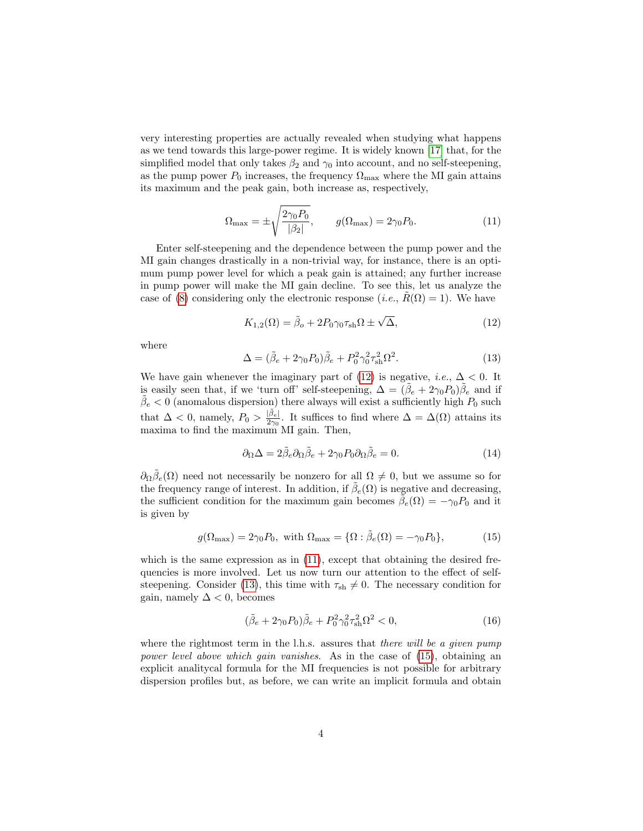very interesting properties are actually revealed when studying what happens as we tend towards this large-power regime. It is widely known [\[17\]](#page-8-2) that, for the simplified model that only takes  $\beta_2$  and  $\gamma_0$  into account, and no self-steepening, as the pump power  $P_0$  increases, the frequency  $\Omega_{\text{max}}$  where the MI gain attains its maximum and the peak gain, both increase as, respectively,

<span id="page-3-1"></span>
$$
\Omega_{\text{max}} = \pm \sqrt{\frac{2\gamma_0 P_0}{|\beta_2|}}, \qquad g(\Omega_{\text{max}}) = 2\gamma_0 P_0. \tag{11}
$$

Enter self-steepening and the dependence between the pump power and the MI gain changes drastically in a non-trivial way, for instance, there is an optimum pump power level for which a peak gain is attained; any further increase in pump power will make the MI gain decline. To see this, let us analyze the case of [\(8\)](#page-2-0) considering only the electronic response (*i.e.*,  $R(\Omega) = 1$ ). We have

<span id="page-3-0"></span>
$$
K_{1,2}(\Omega) = \tilde{\beta}_o + 2P_0 \gamma_0 \tau_{\rm sh} \Omega \pm \sqrt{\Delta},\tag{12}
$$

where

<span id="page-3-2"></span>
$$
\Delta = (\tilde{\beta}_e + 2\gamma_0 P_0)\tilde{\beta}_e + P_0^2 \gamma_0^2 \tau_{\rm sh}^2 \Omega^2.
$$
\n(13)

We have gain whenever the imaginary part of [\(12\)](#page-3-0) is negative, *i.e.*,  $\Delta < 0$ . It is easily seen that, if we 'turn off' self-steepening,  $\Delta = (\tilde{\beta}_e + 2\gamma_0 P_0)\tilde{\beta}_e$  and if  $\tilde{\beta}_e < 0$  (anomalous dispersion) there always will exist a sufficiently high  $P_0$  such that  $\Delta < 0$ , namely,  $P_0 > \frac{|\tilde{\beta}_e|}{2\gamma_0}$  $\frac{|\rho_e|}{2\gamma_0}$ . It suffices to find where  $\Delta = \Delta(\Omega)$  attains its maxima to find the maximum MI gain. Then,

$$
\partial_{\Omega} \Delta = 2\tilde{\beta}_e \partial_{\Omega} \tilde{\beta}_e + 2\gamma_0 P_0 \partial_{\Omega} \tilde{\beta}_e = 0.
$$
\n(14)

 $\partial_{\Omega}\tilde{\beta}_e(\Omega)$  need not necessarily be nonzero for all  $\Omega \neq 0$ , but we assume so for the frequency range of interest. In addition, if  $\tilde{\beta}_e(\Omega)$  is negative and decreasing, the sufficient condition for the maximum gain becomes  $\tilde{\beta}_e(\Omega) = -\gamma_0 P_0$  and it is given by

<span id="page-3-3"></span>
$$
g(\Omega_{\text{max}}) = 2\gamma_0 P_0, \text{ with } \Omega_{\text{max}} = \{ \Omega : \tilde{\beta}_e(\Omega) = -\gamma_0 P_0 \},\tag{15}
$$

which is the same expression as in  $(11)$ , except that obtaining the desired frequencies is more involved. Let us now turn our attention to the effect of self-steepening. Consider [\(13\)](#page-3-2), this time with  $\tau_{\rm sh} \neq 0$ . The necessary condition for gain, namely  $\Delta < 0$ , becomes

<span id="page-3-4"></span>
$$
(\tilde{\beta}_e + 2\gamma_0 P_0)\tilde{\beta}_e + P_0^2 \gamma_0^2 \tau_{\rm sh}^2 \Omega^2 < 0,\tag{16}
$$

where the rightmost term in the l.h.s. assures that there will be a given pump power level above which gain vanishes. As in the case of [\(15\)](#page-3-3), obtaining an explicit analitycal formula for the MI frequencies is not possible for arbitrary dispersion profiles but, as before, we can write an implicit formula and obtain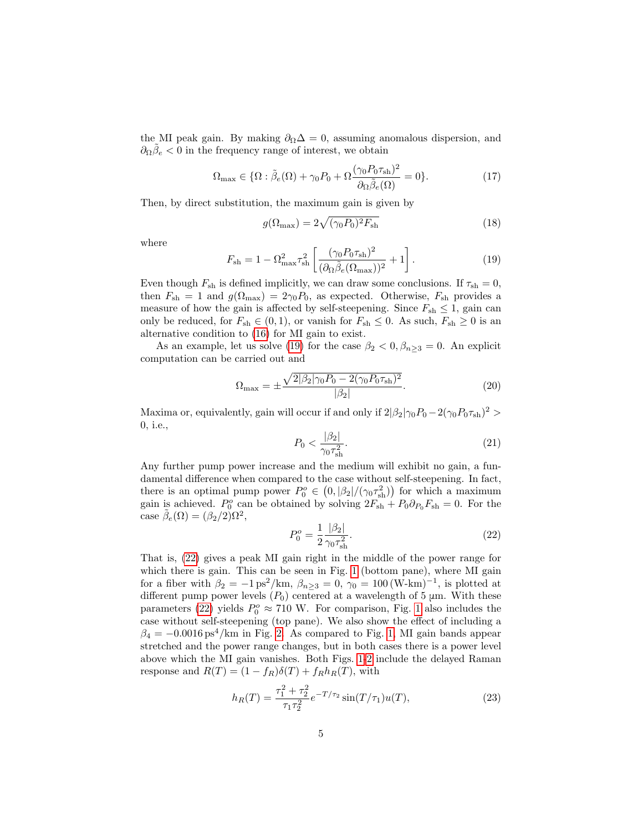the MI peak gain. By making  $\partial_{\Omega}\Delta = 0$ , assuming anomalous dispersion, and  $\partial_{\Omega}\tilde{\beta}_e < 0$  in the frequency range of interest, we obtain

$$
\Omega_{\text{max}} \in \{ \Omega : \tilde{\beta}_e(\Omega) + \gamma_0 P_0 + \Omega \frac{(\gamma_0 P_0 \tau_{\text{sh}})^2}{\partial \Omega \tilde{\beta}_e(\Omega)} = 0 \}. \tag{17}
$$

Then, by direct substitution, the maximum gain is given by

$$
g(\Omega_{\text{max}}) = 2\sqrt{(\gamma_0 P_0)^2 F_{\text{sh}}}
$$
\n(18)

where

<span id="page-4-0"></span>
$$
F_{\rm sh} = 1 - \Omega_{\rm max}^2 \tau_{\rm sh}^2 \left[ \frac{(\gamma_0 P_0 \tau_{\rm sh})^2}{(\partial \Omega \tilde{\beta}_e (\Omega_{\rm max}))^2} + 1 \right]. \tag{19}
$$

Even though  $F_{\rm sh}$  is defined implicitly, we can draw some conclusions. If  $\tau_{\rm sh} = 0$ , then  $F_{\rm sh} = 1$  and  $g(\Omega_{\rm max}) = 2\gamma_0 P_0$ , as expected. Otherwise,  $F_{\rm sh}$  provides a measure of how the gain is affected by self-steepening. Since  $F_{\text{sh}} \leq 1$ , gain can only be reduced, for  $F_{\text{sh}} \in (0, 1)$ , or vanish for  $F_{\text{sh}} \leq 0$ . As such,  $F_{\text{sh}} \geq 0$  is an alternative condition to [\(16\)](#page-3-4) for MI gain to exist.

As an example, let us solve [\(19\)](#page-4-0) for the case  $\beta_2 < 0$ ,  $\beta_{n>3} = 0$ . An explicit computation can be carried out and

$$
\Omega_{\text{max}} = \pm \frac{\sqrt{2|\beta_2|\gamma_0 P_0 - 2(\gamma_0 P_0 \tau_{\text{sh}})^2}}{|\beta_2|}.
$$
\n(20)

Maxima or, equivalently, gain will occur if and only if  $2|\beta_2|\gamma_0 P_0 - 2(\gamma_0 P_0 \tau_{\rm sh})^2 >$ 0, i.e.,

$$
P_0 < \frac{|\beta_2|}{\gamma_0 \tau_{\rm sh}^2}.\tag{21}
$$

Any further pump power increase and the medium will exhibit no gain, a fundamental difference when compared to the case without self-steepening. In fact, there is an optimal pump power  $P_0^o \in (0, |\beta_2|/(\gamma_0 \tau_{\rm sh}^2))$  for which a maximum gain is achieved.  $P_0^o$  can be obtained by solving  $2F_{\rm sh} + P_0 \partial_{P_0} F_{\rm sh} = 0$ . For the case  $\tilde{\beta}_e(\Omega) = (\beta_2/2)\Omega^2$ ,

<span id="page-4-1"></span>
$$
P_0^o = \frac{1}{2} \frac{|\beta_2|}{\gamma_0 \tau_{\rm sh}^2}.
$$
 (22)

That is, [\(22\)](#page-4-1) gives a peak MI gain right in the middle of the power range for which there is gain. This can be seen in Fig. [1](#page-5-0) (bottom pane), where MI gain for a fiber with  $\beta_2 = -1 \text{ ps}^2/\text{km}$ ,  $\beta_{n \geq 3} = 0$ ,  $\gamma_0 = 100 \text{ (W-km)}^{-1}$ , is plotted at different pump power levels  $(P_0)$  centered at a wavelength of 5  $\mu$ m. With these parameters [\(22\)](#page-4-1) yields  $P_0^o \approx 710$  W. For comparison, Fig. [1](#page-5-0) also includes the case without self-steepening (top pane). We also show the effect of including a  $\beta_4 = -0.0016 \,\mathrm{ps}^4/\mathrm{km}$  in Fig. [2.](#page-6-0) As compared to Fig. [1,](#page-5-0) MI gain bands appear stretched and the power range changes, but in both cases there is a power level above which the MI gain vanishes. Both Figs. [1](#page-5-0)[-2](#page-6-0) include the delayed Raman response and  $R(T) = (1 - f_R)\delta(T) + f_R h_R(T)$ , with

<span id="page-4-2"></span>
$$
h_R(T) = \frac{\tau_1^2 + \tau_2^2}{\tau_1 \tau_2^2} e^{-T/\tau_2} \sin(T/\tau_1) u(T), \tag{23}
$$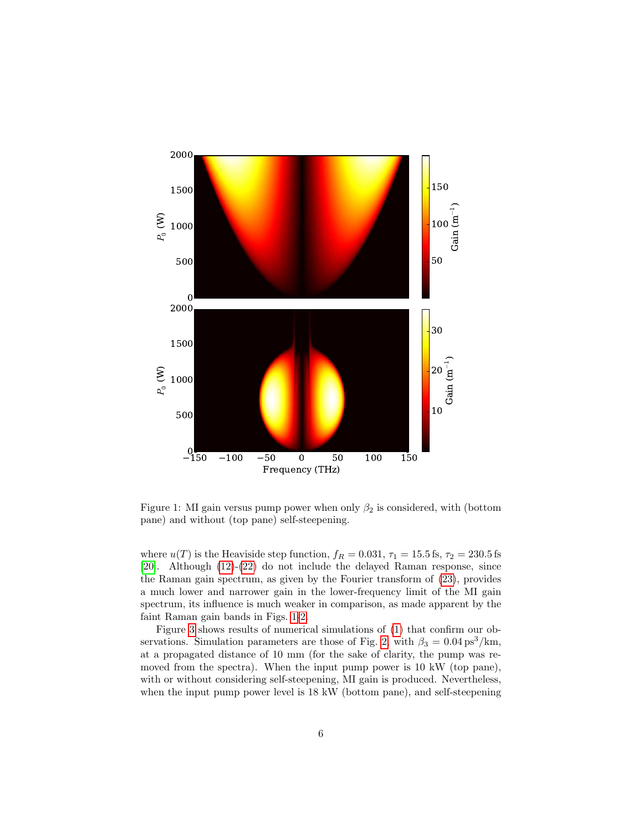

<span id="page-5-0"></span>Figure 1: MI gain versus pump power when only  $\beta_2$  is considered, with (bottom pane) and without (top pane) self-steepening.

where  $u(T)$  is the Heaviside step function,  $f_R = 0.031$ ,  $\tau_1 = 15.5$  fs,  $\tau_2 = 230.5$  fs [\[20\]](#page-8-5). Although [\(12\)](#page-3-0)-[\(22\)](#page-4-1) do not include the delayed Raman response, since the Raman gain spectrum, as given by the Fourier transform of [\(23\)](#page-4-2), provides a much lower and narrower gain in the lower-frequency limit of the MI gain spectrum, its influence is much weaker in comparison, as made apparent by the faint Raman gain bands in Figs. [1-](#page-5-0)[2.](#page-6-0)

Figure [3](#page-9-0) shows results of numerical simulations of [\(1\)](#page-1-0) that confirm our ob-servations. Simulation parameters are those of Fig. [2,](#page-6-0) with  $\beta_3 = 0.04 \text{ ps}^3/\text{km}$ , at a propagated distance of 10 mm (for the sake of clarity, the pump was removed from the spectra). When the input pump power is 10 kW (top pane), with or without considering self-steepening, MI gain is produced. Nevertheless, when the input pump power level is 18 kW (bottom pane), and self-steepening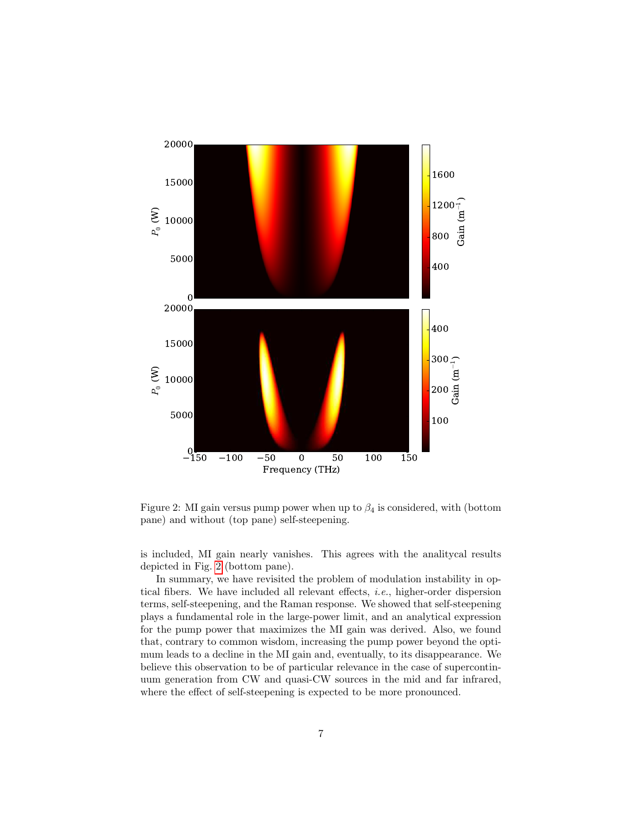

<span id="page-6-0"></span>Figure 2: MI gain versus pump power when up to  $\beta_4$  is considered, with (bottom pane) and without (top pane) self-steepening.

is included, MI gain nearly vanishes. This agrees with the analitycal results depicted in Fig. [2](#page-6-0) (bottom pane).

In summary, we have revisited the problem of modulation instability in optical fibers. We have included all relevant effects, i.e., higher-order dispersion terms, self-steepening, and the Raman response. We showed that self-steepening plays a fundamental role in the large-power limit, and an analytical expression for the pump power that maximizes the MI gain was derived. Also, we found that, contrary to common wisdom, increasing the pump power beyond the optimum leads to a decline in the MI gain and, eventually, to its disappearance. We believe this observation to be of particular relevance in the case of supercontinuum generation from CW and quasi-CW sources in the mid and far infrared, where the effect of self-steepening is expected to be more pronounced.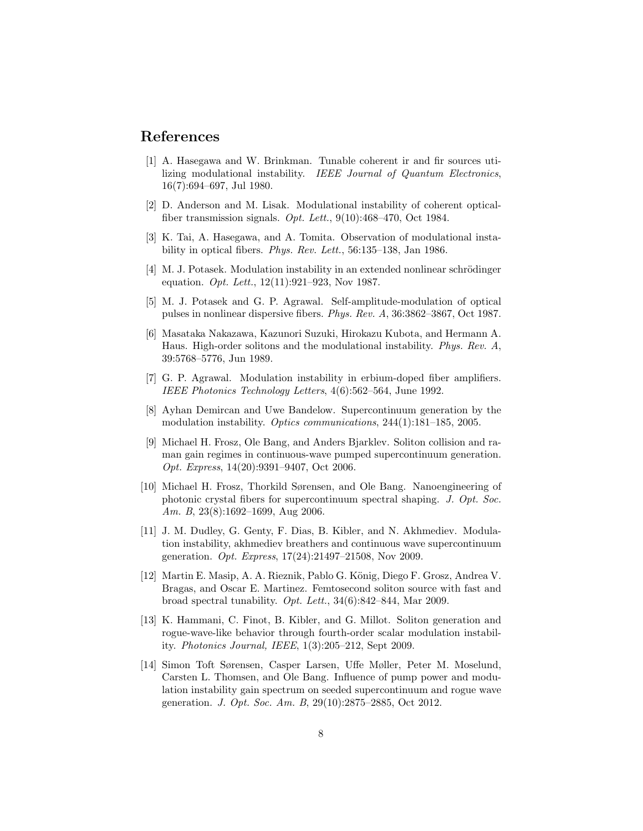## References

- <span id="page-7-0"></span>[1] A. Hasegawa and W. Brinkman. Tunable coherent ir and fir sources utilizing modulational instability. IEEE Journal of Quantum Electronics, 16(7):694–697, Jul 1980.
- [2] D. Anderson and M. Lisak. Modulational instability of coherent opticalfiber transmission signals. Opt. Lett., 9(10):468–470, Oct 1984.
- [3] K. Tai, A. Hasegawa, and A. Tomita. Observation of modulational instability in optical fibers. Phys. Rev. Lett., 56:135–138, Jan 1986.
- <span id="page-7-6"></span>[4] M. J. Potasek. Modulation instability in an extended nonlinear schrödinger equation. Opt. Lett., 12(11):921–923, Nov 1987.
- [5] M. J. Potasek and G. P. Agrawal. Self-amplitude-modulation of optical pulses in nonlinear dispersive fibers. Phys. Rev. A, 36:3862–3867, Oct 1987.
- [6] Masataka Nakazawa, Kazunori Suzuki, Hirokazu Kubota, and Hermann A. Haus. High-order solitons and the modulational instability. Phys. Rev. A, 39:5768–5776, Jun 1989.
- <span id="page-7-1"></span>[7] G. P. Agrawal. Modulation instability in erbium-doped fiber amplifiers. IEEE Photonics Technology Letters, 4(6):562–564, June 1992.
- <span id="page-7-2"></span>[8] Ayhan Demircan and Uwe Bandelow. Supercontinuum generation by the modulation instability. Optics communications, 244(1):181–185, 2005.
- [9] Michael H. Frosz, Ole Bang, and Anders Bjarklev. Soliton collision and raman gain regimes in continuous-wave pumped supercontinuum generation. Opt. Express, 14(20):9391–9407, Oct 2006.
- <span id="page-7-5"></span>[10] Michael H. Frosz, Thorkild Sørensen, and Ole Bang. Nanoengineering of photonic crystal fibers for supercontinuum spectral shaping. J. Opt. Soc. Am. B, 23(8):1692–1699, Aug 2006.
- [11] J. M. Dudley, G. Genty, F. Dias, B. Kibler, and N. Akhmediev. Modulation instability, akhmediev breathers and continuous wave supercontinuum generation. Opt. Express, 17(24):21497–21508, Nov 2009.
- <span id="page-7-3"></span>[12] Martin E. Masip, A. A. Rieznik, Pablo G. König, Diego F. Grosz, Andrea V. Bragas, and Oscar E. Martinez. Femtosecond soliton source with fast and broad spectral tunability. Opt. Lett., 34(6):842–844, Mar 2009.
- <span id="page-7-4"></span>[13] K. Hammani, C. Finot, B. Kibler, and G. Millot. Soliton generation and rogue-wave-like behavior through fourth-order scalar modulation instability. Photonics Journal, IEEE, 1(3):205–212, Sept 2009.
- [14] Simon Toft Sørensen, Casper Larsen, Uffe Møller, Peter M. Moselund, Carsten L. Thomsen, and Ole Bang. Influence of pump power and modulation instability gain spectrum on seeded supercontinuum and rogue wave generation. J. Opt. Soc. Am. B, 29(10):2875–2885, Oct 2012.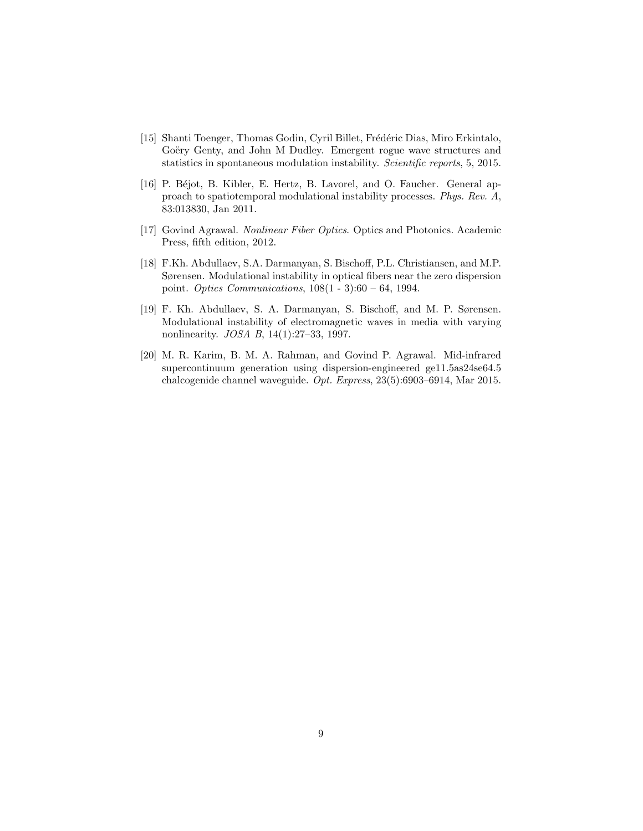- <span id="page-8-0"></span>[15] Shanti Toenger, Thomas Godin, Cyril Billet, Frédéric Dias, Miro Erkintalo, Goëry Genty, and John M Dudley. Emergent rogue wave structures and statistics in spontaneous modulation instability. Scientific reports, 5, 2015.
- <span id="page-8-1"></span>[16] P. Béjot, B. Kibler, E. Hertz, B. Lavorel, and O. Faucher. General approach to spatiotemporal modulational instability processes. Phys. Rev. A, 83:013830, Jan 2011.
- <span id="page-8-2"></span>[17] Govind Agrawal. Nonlinear Fiber Optics. Optics and Photonics. Academic Press, fifth edition, 2012.
- <span id="page-8-3"></span>[18] F.Kh. Abdullaev, S.A. Darmanyan, S. Bischoff, P.L. Christiansen, and M.P. Sørensen. Modulational instability in optical fibers near the zero dispersion point. Optics Communications, 108(1 - 3):60 – 64, 1994.
- <span id="page-8-4"></span>[19] F. Kh. Abdullaev, S. A. Darmanyan, S. Bischoff, and M. P. Sørensen. Modulational instability of electromagnetic waves in media with varying nonlinearity. JOSA B, 14(1):27–33, 1997.
- <span id="page-8-5"></span>[20] M. R. Karim, B. M. A. Rahman, and Govind P. Agrawal. Mid-infrared supercontinuum generation using dispersion-engineered ge11.5as24se64.5 chalcogenide channel waveguide. Opt. Express, 23(5):6903–6914, Mar 2015.